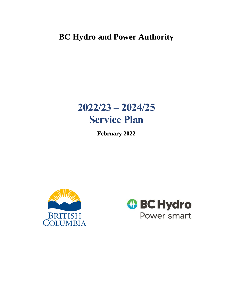## **BC Hydro and Power Authority**

# **2022/23 – 2024/25 Service Plan**

**February 2022**



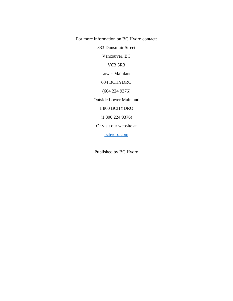For more information on BC Hydro contact:

333 Dunsmuir Street

Vancouver, BC

V6B 5R3

Lower Mainland

604 BCHYDRO

(604 224 9376)

Outside Lower Mainland

1 800 BCHYDRO

(1 800 224 9376)

Or visit our website at

[bchydro.com](https://www.bchydro.com/index.html)

Published by BC Hydro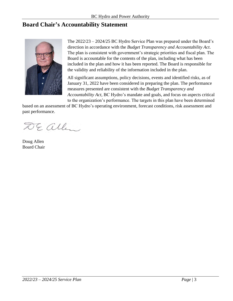## <span id="page-2-0"></span>**Board Chair's Accountability Statement**



The 2022/23 – 2024/25 BC Hydro Service Plan was prepared under the Board's direction in accordance with the *Budget Transparency and Accountability Act*. The plan is consistent with government's strategic priorities and fiscal plan. The Board is accountable for the contents of the plan, including what has been included in the plan and how it has been reported. The Board is responsible for the validity and reliability of the information included in the plan.

All significant assumptions, policy decisions, events and identified risks, as of January 31, 2022 have been considered in preparing the plan. The performance measures presented are consistent with the *Budget Transparency and Accountability Act*, BC Hydro's mandate and goals, and focus on aspects critical to the organization's performance. The targets in this plan have been determined

based on an assessment of BC Hydro's operating environment, forecast conditions, risk assessment and past performance.

DE allen

Doug Allen Board Chair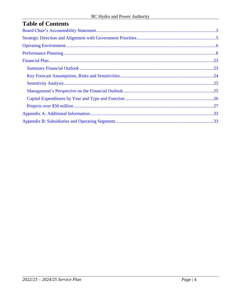| <b>Table of Contents</b> |  |
|--------------------------|--|
|--------------------------|--|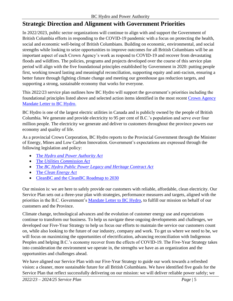## <span id="page-4-0"></span>**Strategic Direction and Alignment with Government Priorities**

In 2022/2023, public sector organizations will continue to align with and support the Government of British Columbia efforts in responding to the COVID-19 pandemic with a focus on protecting the health, social and economic well-being of British Columbians. Building on economic, environmental, and social strengths while looking to seize opportunities to improve outcomes for all British Columbians will be an important aspect of each Crown Agency's work as respond to COVID-19 and recover from devastating floods and wildfires. The policies, programs and projects developed over the course of this service plan period will align with the five foundational principles established by Government in 2020: putting people first, working toward lasting and meaningful reconciliation, supporting equity and anti-racism, ensuring a better future through fighting climate change and meeting our greenhouse gas reduction targets, and supporting a strong, sustainable economy that works for everyone.

This 2022/23 service plan outlines how BC Hydro will support the government's priorities including the foundational principles listed above and selected action items identified in the most recent [Crown Agency](https://www2.gov.bc.ca/gov/content/governments/organizational-structure/ministries-organizations/crown-corporations/bc-hydro-and-power-authority)  [Mandate Letter to BC Hydro.](https://www2.gov.bc.ca/gov/content/governments/organizational-structure/ministries-organizations/crown-corporations/bc-hydro-and-power-authority)

BC Hydro is one of the largest electric utilities in Canada and is publicly owned by the people of British Columbia. We generate and provide electricity to 95 per cent of B.C.'s population and serve over four million people. The electricity we generate and deliver to customers throughout the province powers our economy and quality of life.

As a provincial Crown Corporation, BC Hydro reports to the Provincial Government through the Minister of Energy, Mines and Low Carbon Innovation. Government's expectations are expressed through the following legislation and policy:

- The *[Hydro and Power Authority Act](http://www.bclaws.ca/civix/document/id/complete/statreg/96212_01)*
- The *[Utilities Commission Act](http://www.bclaws.ca/Recon/document/ID/freeside/00_96473_01)*
- The *BC [Hydro Public Power Legacy and Heritage Contract Act](http://www.bclaws.ca/civix/document/id/complete/statreg/03086_01)*
- The *[Clean Energy Act](http://www.bclaws.ca/civix/document/id/consol24/consol24/00_10022_01)*
- [CleanBC](https://blog.gov.bc.ca/app/uploads/sites/436/2019/02/CleanBC_Full_Report_Updated_Mar2019.pdf) and the [CleanBC Roadmap to 2030](https://www2.gov.bc.ca/assets/gov/environment/climate-change/action/cleanbc/cleanbc_roadmap_2030.pdf)

Our mission is: we are here to safely provide our customers with reliable, affordable, clean electricity. Our Service Plan sets out a three-year plan with strategies, performance measures and targets, aligned with the priorities in the B.C. Government's [Mandate Letter to BC Hydro,](https://www2.gov.bc.ca/gov/content/governments/organizational-structure/ministries-organizations/crown-corporations/bc-hydro-and-power-authority) to fulfill our mission on behalf of our customers and the Province.

Climate change, technological advances and the evolution of customer energy use and expectations continue to transform our business. To help us navigate these ongoing developments and challenges, we developed our Five-Year Strategy to help us focus our efforts to maintain the service our customers count on, while also looking to the future of our industry, company and work. To get us where we need to be, we will focus on maximizing the opportunities of electrification, advancing reconciliation with Indigenous Peoples and helping B.C.'s economy recover from the effects of COVID-19. The Five-Year Strategy takes into consideration the environment we operate in, the strengths we have as an organization and the opportunities and challenges ahead.

We have aligned our Service Plan with our Five-Year Strategy to guide our work towards a refreshed vision: a cleaner, more sustainable future for all British Columbians. We have identified five goals for the Service Plan that reflect successfully delivering on our mission: we will deliver reliable power safely; we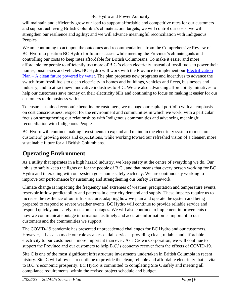#### BC Hydro and Power Authority

will maintain and efficiently grow our load to support affordable and competitive rates for our customers and support achieving British Columbia's climate action targets; we will control our costs; we will strengthen our resilience and agility; and we will advance meaningful reconciliation with Indigenous Peoples.

We are continuing to act upon the outcomes and recommendations from the Comprehensive Review of BC Hydro to position BC Hydro for future success while meeting the Province's climate goals and controlling our costs to keep rates affordable for British Columbians. To make it easier and more affordable for people to efficiently use more of B.C.'s clean electricity instead of fossil fuels to power their homes, businesses and vehicles, BC Hydro will work with the Province to implement our [Electrification](https://www.bchydro.com/content/dam/BCHydro/customer-portal/documents/corporate/electrification/Electrification-Plan.pdf)  Plan – [A clean future powered by water.](https://www.bchydro.com/content/dam/BCHydro/customer-portal/documents/corporate/electrification/Electrification-Plan.pdf) The plan proposes new programs and incentives to advance the switch from fossil fuels to clean electricity in homes and buildings, vehicles and fleets, businesses and industry, and to attract new innovative industries to B.C. We are also advancing affordability initiatives to help our customers save money on their electricity bills and continuing to focus on making it easier for our customers to do business with us.

To ensure sustained economic benefits for customers, we manage our capital portfolio with an emphasis on cost consciousness, respect for the environment and communities in which we work, with a particular focus on strengthening our relationships with Indigenous communities and advancing meaningful reconciliation with Indigenous Peoples.

BC Hydro will continue making investments to expand and maintain the electricity system to meet our customers' growing needs and expectations, while working toward our refreshed vision of a cleaner, more sustainable future for all British Columbians.

## <span id="page-5-0"></span>**Operating Environment**

As a utility that operates in a high hazard industry, we keep safety at the centre of everything we do. Our job is to safely keep the lights on for the people of B.C., and that means that every person working for BC Hydro and interacting with our system goes home safely each day. We are continuously working to improve our performance by sustaining and strengthening our Safety Framework.

Climate change is impacting the frequency and extremes of weather, precipitation and temperature events, reservoir inflow predictability and patterns in electricity demand and supply. These impacts require us to increase the resilience of our infrastructure, adapting how we plan and operate the system and being prepared to respond to severe weather events. BC Hydro will continue to provide reliable service and respond quickly and safely to customer outages. We will also continue to implement improvements on how we communicate outage information, as timely and accurate information is important to our customers and the communities we support.

The COVID-19 pandemic has presented unprecedented challenges for BC Hydro and our customers. However, it has also made our role as an essential service – providing clean, reliable and affordable electricity to our customers – more important than ever. As a Crown Corporation, we will continue to support the Province and our customers to help B.C.'s economy recover from the effects of COVID-19.

Site C is one of the most significant infrastructure investments undertaken in British Columbia in recent history. Site C will allow us to continue to provide the clean, reliable and affordable electricity that is vital to B.C.'s economic prosperity. BC Hydro is committed to completing Site C safely and meeting all compliance requirements, within the revised project schedule and budget.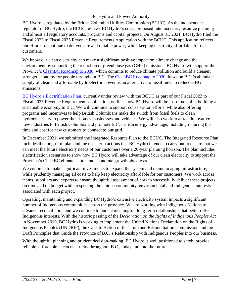BC Hydro is regulated by the British Columbia Utilities Commission (BCUC). As the independent regulator of BC Hydro, the BCUC reviews BC Hydro's costs, proposed rate increases, resource planning and almost all regulatory accounts, programs and capital projects. On August 31, 2021, BC Hydro filed the Fiscal 2023 to Fiscal 2025 Revenue Requirements Application with the BCUC. This application reflects our efforts to continue to deliver safe and reliable power, while keeping electricity affordable for our customers.

We know our clean electricity can make a significant positive impact on climate change and the environment by supporting the reduction of greenhouse gas (GHG) emissions. BC Hydro will support the Province's [CleanBC Roadmap to 2030,](https://www2.gov.bc.ca/assets/gov/environment/climate-change/action/cleanbc/cleanbc_roadmap_2030.pdf) which commits to reduce climate pollution and build a cleaner, stronger economy for people throughout B.C. The [CleanBC Roadmap to 2030](https://www2.gov.bc.ca/assets/gov/environment/climate-change/action/cleanbc/cleanbc_roadmap_2030.pdf) draws on B.C.'s abundant supply of clean and affordable hydroelectric power as an alternative to fossil fuels to reduce GHG emissions.

[BC Hydro's Electrification Plan,](https://www.bchydro.com/content/dam/BCHydro/customer-portal/documents/corporate/electrification/Electrification-Plan.pdf) currently under review with the BCUC as part of our Fiscal 2023 to Fiscal 2025 Revenue Requirements application, outlines how BC Hydro will be instrumental in building a sustainable economy in B.C. We will continue to support conservation efforts, while also offering programs and incentives to help British Columbians make the switch from fossil fuels to clean hydroelectricity to power their homes, businesses and vehicles. We will also work to attract innovative new industries to British Columbia and promote B.C.'s clean energy advantage, including reducing the time and cost for new customers to connect to our grid.

In December 2021, we submitted the Integrated Resource Plan to the BCUC. The Integrated Resource Plan includes the long-term plan and the near-term actions that BC Hydro intends to carry out to ensure that we can meet the future electricity needs of our customers over a 20-year planning horizon. The plan includes electrification scenarios to show how BC Hydro will take advantage of our clean electricity to support the Province's CleanBC climate action and economic growth objectives.

We continue to make significant investments to expand the system and maintain aging infrastructure, while prudently managing all costs to help keep electricity affordable for our customers. We work across teams, suppliers and experts to ensure thoughtful assessment of how to successfully deliver these projects on time and on budget while respecting the unique community, environmental and Indigenous interests associated with each project.

Operating, maintaining and expanding BC Hydro's extensive electricity system impacts a significant number of Indigenous communities across the province. We are working with Indigenous Nations to advance reconciliation and we continue to pursue meaningful, long-term relationships that better reflect Indigenous interests. With the historic passing of the *Declaration on the Rights of Indigenous Peoples Act*  in November 2019, BC Hydro is working to implement the United Nations Declaration on the Rights of Indigenous Peoples (UNDRIP), the Calls to Action of the Truth and Reconciliation Commission and the Draft Principles that Guide the Province of B.C.'s Relationship with Indigenous Peoples into our business.

With thoughtful planning and prudent decision-making, BC Hydro is well positioned to safely provide reliable, affordable, clean electricity throughout B.C., today and into the future.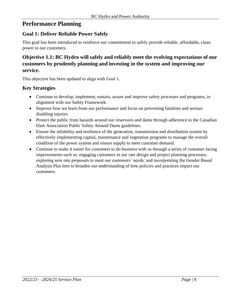## <span id="page-7-0"></span>**Performance Planning**

#### **Goal 1: Deliver Reliable Power Safely**

This goal has been introduced to reinforce our commitment to safely provide reliable, affordable, clean power to our customers.

## **Objective 1.1: BC Hydro will safely and reliably meet the evolving expectations of our customers by prudently planning and investing in the system and improving our service.**

This objective has been updated to align with Goal 1.

#### **Key Strategies**

- Continue to develop, implement, sustain, assure and improve safety processes and programs, in alignment with our Safety Framework.
- Improve how we learn from our performance and focus on preventing fatalities and serious disabling injuries.
- Protect the public from hazards around our reservoirs and dams through adherence to the Canadian Dam Association Public Safety Around Dams guidelines.
- Ensure the reliability and resilience of the generation, transmission and distribution system by effectively implementing capital, maintenance and vegetation programs to manage the overall condition of the power system and ensure supply to meet customer demand.
- Continue to make it easier for customers to do business with us through a series of customer facing improvements such as: engaging customers in our rate design and project planning processes; exploring new rate proposals to meet our customers' needs; and incorporating the Gender Based Analysis Plus lens to broaden our understanding of how policies and practices impact our customers.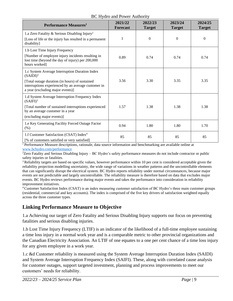#### BC Hydro and Power Authority

| <b>Performance Measures</b> <sup>1</sup>                                                                                                                                                                   | 2021/22<br><b>Forecast</b> | 2022/23<br><b>Target</b> | 2023/24<br><b>Target</b> | 2024/25<br><b>Target</b> |
|------------------------------------------------------------------------------------------------------------------------------------------------------------------------------------------------------------|----------------------------|--------------------------|--------------------------|--------------------------|
| 1.a Zero Fatality & Serious Disabling Injury <sup>2</sup><br>[Loss of life or the injury has resulted in a permanent<br>disability]                                                                        |                            | $\boldsymbol{0}$         | $\theta$                 | $\Omega$                 |
| 1.b Lost Time Injury Frequency<br>[Number of employee injury incidents resulting in<br>lost time (beyond the day of injury) per 200,000<br>hours worked]                                                   | 0.89                       | 0.74                     | 0.74                     | 0.74                     |
| 1.c System Average Interruption Duration Index<br>$(SAIDI)^3$<br>[Total outage duration (in hours) of sustained<br>interruptions experienced by an average customer in<br>a year (excluding major events)] | 3.56                       | 3.30                     | 3.35                     | 3.35                     |
| 1.d System Average Interruption Frequency Index<br>(SAlFI) <sup>3</sup><br>[Total number of sustained interruptions experienced]<br>by an average customer in a year<br>(excluding major events)]          | 1.57                       | 1.38                     | 1.38                     | 1.38                     |
| 1.e Key Generating Facility Forced Outage Factor<br>(% )                                                                                                                                                   | 0.94                       | 1.80                     | 1.80                     | 1.70                     |
| 1.f Customer Satisfaction (CSAT) Index <sup>4</sup><br>[% of customers satisfied or very satisfied]                                                                                                        | 85                         | 85                       | 85                       | 85                       |

<sup>1</sup> Performance Measure descriptions, rationale, data source information and benchmarking are available online at [www.bchydro.com/performance](http://www.bchydro.com/performance)

 ${}^{2}$ Zero Fatality and Serious Disabling Injury – BC Hydro's safety performance measures do not include contractor or public safety injuries or fatalities.

<sup>3</sup>Reliability targets are based on specific values, however performance within 10 per cent is considered acceptable given the reliability projection modelling uncertainty, the wide range of variations in weather patterns and the uncontrollable elements that can significantly disrupt the electrical system. BC Hydro reports reliability under normal circumstances, because major events are not predictable and largely uncontrollable. The reliability measure is therefore based on data that excludes major events. BC Hydro reviews performance during major events and takes the performance into consideration in reliability improvement initiatives.

<sup>4</sup>Customer Satisfaction Index (CSAT) is an index measuring customer satisfaction of BC Hydro's three main customer groups (residential, commercial and key accounts). The index is comprised of the five key drivers of satisfaction weighted equally across the three customer types.

#### **Linking Performance Measure to Objective**

1.a Achieving our target of Zero Fatality and Serious Disabling Injury supports our focus on preventing fatalities and serious disabling injuries.

1.b Lost Time Injury Frequency (LTIF) is an indicator of the likelihood of a full-time employee sustaining a time loss injury in a normal work year and is a comparable metric to other provincial organizations and the Canadian Electricity Association. An LTIF of one equates to a one per cent chance of a time loss injury for any given employee in a work year.

1.c &d Customer reliability is measured using the System Average Interruption Duration Index (SAIDI) and System Average Interruption Frequency Index (SAIFI). These, along with correlated cause analysis for customer outages, support targeted investment, planning and process improvements to meet our customers' needs for reliability.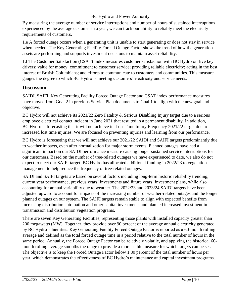By measuring the average number of service interruptions and number of hours of sustained interruptions experienced by the average customer in a year, we can track our ability to reliably meet the electricity requirements of customers.

1.e A forced outage occurs when a generating unit is unable to start generating or does not stay in service when needed. The Key Generating Facility Forced Outage Factor shows the trend of how the generation assets are performing and supports investment decisions to maintain asset reliability.

1.f The Customer Satisfaction (CSAT) Index measures customer satisfaction with BC Hydro on five key drivers: value for money; commitment to customer service; providing reliable electricity; acting in the best interest of British Columbians; and efforts to communicate to customers and communities. This measure gauges the degree to which BC Hydro is meeting customers' electricity and service needs.

## **Discussion**

SAIDI, SAIFI, Key Generating Facility Forced Outage Factor and CSAT index performance measures have moved from Goal 2 in previous Service Plan documents to Goal 1 to align with the new goal and objective.

BC Hydro will not achieve its 2021/22 Zero Fatality & Serious Disabling Injury target due to a serious employee electrical contact incident in June 2021 that resulted in a permanent disability. In addition, BC Hydro is forecasting that it will not achieve its Lost Time Injury Frequency 2021/22 target due to increased lost time injuries. We are focused on preventing injuries and learning from our performance.

BC Hydro is forecasting that we will not achieve our 2021/22 SAIDI and SAIFI targets predominantly due to weather impacts, even after normalization for major storm events. Planned outages have had a significant impact on our SAIDI performance measure causing longer sustained service interruptions for our customers. Based on the number of tree-related outages we have experienced to date, we also do not expect to meet our SAIFI target. BC Hydro has allocated additional funding in 2022/23 to vegetation management to help reduce the frequency of tree-related outages.

SAIDI and SAIFI targets are based on several factors including long-term historic reliability trending, current year performance, previous years' investments and future years' investment plans, while also accounting for annual variability due to weather. The 2022/23 and 2023/24 SAIDI targets have been adjusted upward to account for impacts of the increasing number of weather-related outages and the longer planned outages on our system. The SAIFI targets remain stable to align with expected benefits from increasing distribution automation and other capital investments and planned increased investment in transmission and distribution vegetation programs.

There are seven Key Generating Facilities, representing those plants with installed capacity greater than 200 megawatts (MW). Together, they provide over 90 percent of the average annual electricity generated by BC Hydro's facilities. Key Generating Facility Forced Outage Factor is reported as a 60-month rolling average and defined as the total forced outage time in a period relative to the total number of hours in the same period. Annually, the Forced Outage Factor can be relatively volatile, and applying the historical 60 month rolling average smooths the range to provide a more stable measure for which targets can be set. The objective is to keep the Forced Outage Factor below 1.80 percent of the total number of hours per year, which demonstrates the effectiveness of BC Hydro's maintenance and capital investment programs.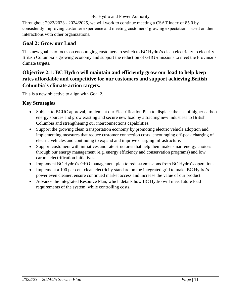Throughout 2022/2023 - 2024/2025, we will work to continue meeting a CSAT index of 85.0 by consistently improving customer experience and meeting customers' growing expectations based on their interactions with other organizations.

### **Goal 2: Grow our Load**

This new goal is to focus on encouraging customers to switch to BC Hydro's clean electricity to electrify British Columbia's growing economy and support the reduction of GHG emissions to meet the Province's climate targets.

## **Objective 2.1: BC Hydro will maintain and efficiently grow our load to help keep rates affordable and competitive for our customers and support achieving British Columbia's climate action targets.**

This is a new objective to align with Goal 2.

#### **Key Strategies**

- Subject to BCUC approval, implement our Electrification Plan to displace the use of higher carbon energy sources and grow existing and secure new load by attracting new industries to British Columbia and strengthening our interconnections capabilities.
- Support the growing clean transportation economy by promoting electric vehicle adoption and implementing measures that reduce customer connection costs, encouraging off-peak charging of electric vehicles and continuing to expand and improve charging infrastructure.
- Support customers with initiatives and rate structures that help them make smart energy choices through our energy management (e.g. energy efficiency and conservation programs) and low carbon electrification initiatives.
- Implement BC Hydro's GHG management plan to reduce emissions from BC Hydro's operations.
- Implement a 100 per cent clean electricity standard on the integrated grid to make BC Hydro's power even cleaner, ensure continued market access and increase the value of our product.
- Advance the Integrated Resource Plan, which details how BC Hydro will meet future load requirements of the system, while controlling costs.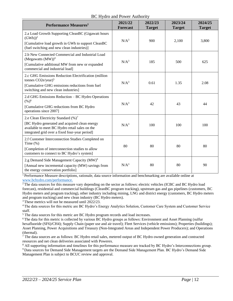#### BC Hydro and Power Authority

| <b>Performance Measures</b> <sup>1</sup>                                                                                                                                                             | 2021/22<br><b>Forecast</b> | 2022/23<br><b>Target</b> | 2023/24<br><b>Target</b> | 2024/25<br><b>Target</b> |
|------------------------------------------------------------------------------------------------------------------------------------------------------------------------------------------------------|----------------------------|--------------------------|--------------------------|--------------------------|
| 2.a Load Growth Supporting CleanBC (Gigawatt hours<br>(GWh) <sup>2</sup><br>[Cumulative load growth in GWh to support CleanBC<br>(fuel switching and new clean industries)]                          | N/A <sup>3</sup>           | 900                      | 2,100                    | 3,800                    |
| 2.b New Connected Commercial and Industrial Load<br>(Megawatts $(MW)4$<br>[Cumulative additional MW from new or expanded<br>commercial and industrial load]                                          | N/A <sup>3</sup>           | 185                      | 500                      | 625                      |
| 2.c GHG Emissions Reduction Electrification (million<br>tonnes CO2e/year) <sup>5</sup><br>[Cumulative GHG emissions reductions from fuel]<br>switching and new clean industries]                     | N/A <sup>3</sup>           | 0.61                     | 1.35                     | 2.08                     |
| 2.d GHG Emissions Reduction – BC Hydro Operations<br>$(%)^6$<br>[Cumulative GHG reductions from BC Hydro<br>operations since 2007]                                                                   | N/A <sup>3</sup>           | 42                       | 43                       | 44                       |
| 2.e Clean Electricity Standard (%) <sup>7</sup><br>[BC Hydro generated and acquired clean energy<br>available to meet BC Hydro retail sales on the<br>integrated grid over a fixed four-year period] | N/A <sup>3</sup>           | 100                      | 100                      | 100                      |
| 2.f Customer Interconnection Studies Completed on<br>Time $(\%)$<br>[Completion of interconnection studies to allow<br>customers to connect to BC Hydro's system]                                    | 80                         | 80                       | 80                       | 80                       |
| 2.g Demand Side Management Capacity (MW) <sup>9</sup><br>[Annual new incremental capacity (MW) savings from<br>the energy conservation portfolio]                                                    | $N/A^3$                    | 80                       | 80                       | 90                       |

<sup>1</sup> Performance Measure descriptions, rationale, data source information and benchmarking are available online at [www.bchydro.com/performance.](http://www.bchydro.com/performance)

<sup>2</sup>The data sources for this measure vary depending on the sector as follows: electric vehicles (ICBC and BC Hydro load forecast), residential and commercial buildings (CleanBC program tracking), upstream gas and gas pipelines (customers, BC Hydro meters and program tracking), other industry including mining, LNG and district energy (customers, BC Hydro meters and program tracking) and new clean industry (BC Hydro meters).

<sup>3</sup> These metrics will not be measured until 2022/23.

<sup>4</sup> The data sources for this metric are BC Hydro's Energy Analytics Solution, Customer Care System and Customer Service staff.

<sup>5</sup> The data sources for this metric are BC Hydro program records and load increases.

<sup>6</sup> The data for this metric is collected by various BC Hydro groups as follows: Environment and Asset Planning (sulfur hexafluoride (SF6)/CH4); Supply Chain (paper use and air travel); Fleet Services (vehicle emissions); Properties (buildings); Asset Planning, Power Acquisitions and Treasury (Non-Integrated Areas and Independent Power Producers); and Operations (thermal).

 $7$  The data sources are as follows: BC Hydro retail sales, metered output of BC Hydro owned generation and contracted resources and net clean deliveries associated with Powerex.

<sup>8</sup> All supporting information and timelines for this performance measure are tracked by BC Hydro's Interconnections group. <sup>9</sup>Data sources for Demand Side Management targets are the Demand Side Management Plan. BC Hydro's Demand Side

Management Plan is subject to BCUC review and approval.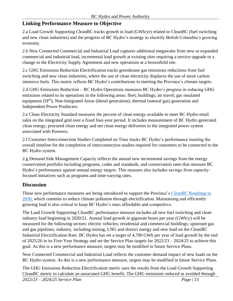#### **Linking Performance Measure to Objective**

2.a Load Growth Supporting CleanBC tracks growth in load (GWh/yr) related to CleanBC (fuel switching and new clean industries) and the progress of BC Hydro's strategy to electrify British Columbia's growing economy.

2.b New Connected Commercial and Industrial Load captures additional megawatts from new or expanded commercial and industrial load, incremental load growth at existing sites requiring a service upgrade or a change to the Electricity Supply Agreement and new operations at a brownfield site.

2.c GHG Emissions Reduction Electrification tracks greenhouse gas emissions reductions from fuel switching and new clean industries, where the use of clean electricity displaces the use of more carbon intensive fuels. This metric reflects BC Hydro's contributions to meeting the Province's climate targets.

2.d GHG Emissions Reduction – BC Hydro Operations measures BC Hydro's progress in reducing GHG emissions related to its operations in the following areas: fleet; buildings; air travel; gas insulated equipment (SF<sup>6</sup>); Non-Integrated Areas (diesel generation); thermal (natural gas) generation and Independent Power Producers.

2.e Clean Electricity Standard measures the percent of clean energy available to meet BC Hydro retail sales on the integrated grid over a fixed four-year period. It includes measurement of BC Hydro generated clean energy, procured clean energy and net clean energy deliveries to the integrated power system associated with Powerex.

2.f Customer Interconnection Studies Completed on Time tracks BC Hydro's performance meeting the overall timeline for the completion of interconnection studies required for customers to be connected to the BC Hydro system.

2.g Demand Side Management Capacity reflects the annual new incremental savings from the energy conservation portfolio including programs, codes and standards, and conservation rates that measure BC Hydro's performance against annual energy targets. This measure also includes savings from capacityfocused initiatives such as programs and time-varying rates.

#### **Discussion**

These new performance measures are being introduced to support the Province's [CleanBC Roadmap to](https://www2.gov.bc.ca/assets/gov/environment/climate-change/action/cleanbc/cleanbc_roadmap_2030.pdf)  [2030,](https://www2.gov.bc.ca/assets/gov/environment/climate-change/action/cleanbc/cleanbc_roadmap_2030.pdf) which commits to reduce climate pollution through electrification. Maintaining and efficiently growing load is also critical to keep BC Hydro's rates affordable and competitive.

The Load Growth Supporting CleanBC performance measure includes all new fuel switching and clean industry load beginning in 2020/21. Annual load growth in gigawatt hours per year (GWh/y) will be measured for the following sectors: electric vehicles; residential and commercial buildings; upstream gas and gas pipelines; industry, including mining, LNG and district energy and new load on the CleanBC Industrial Electrification Rate. BC Hydro has set a target of 4,700 GWh per year of load growth by the end of 2025/26 in its Five-Year Strategy and set the Service Plan targets for 2022/23 – 2024/25 to achieve this goal. As this is a new performance measure, targets may be modified in future Service Plans.

New Connected Commercial and Industrial Load reflects the customer demand impact of new loads on the BC Hydro system. As this is a new performance measure, targets may be modified in future Service Plans.

The GHG Emissions Reduction Electrification metric uses the results from the Load Growth Supporting CleanBC metric to calculate an associated GHG benefit. The GHG emissions reduced or avoided through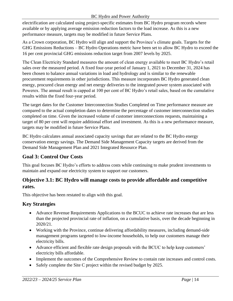#### BC Hydro and Power Authority

electrification are calculated using project-specific estimates from BC Hydro program records where available or by applying average emission reduction factors to the load increase. As this is a new performance measure, targets may be modified in future Service Plans.

As a Crown corporation, BC Hydro will align and support the Province's climate goals. Targets for the GHG Emissions Reductions – BC Hydro Operations metric have been set to allow BC Hydro to exceed the 16 per cent provincial GHG emissions reduction target from 2007 levels by 2025.

The Clean Electricity Standard measures the amount of clean energy available to meet BC Hydro's retail sales over the measured period. A fixed four-year period of January 1, 2021 to December 31, 2024 has been chosen to balance annual variations in load and hydrology and is similar to the renewable procurement requirements in other jurisdictions. This measure incorporates BC Hydro generated clean energy, procured clean energy and net energy deliveries to the integrated power system associated with Powerex. The annual result is capped at 100 per cent of BC Hydro's retail sales, based on the cumulative results within the fixed four-year period.

The target dates for the Customer Interconnection Studies Completed on Time performance measure are compared to the actual completion dates to determine the percentage of customer interconnection studies completed on time. Given the increased volume of customer interconnections requests, maintaining a target of 80 per cent will require additional effort and investment. As this is a new performance measure, targets may be modified in future Service Plans.

BC Hydro calculates annual associated capacity savings that are related to the BC Hydro energy conservation energy savings. The Demand Side Management Capacity targets are derived from the Demand Side Management Plan and 2021 Integrated Resource Plan.

## **Goal 3: Control Our Costs**

This goal focuses BC Hydro's efforts to address costs while continuing to make prudent investments to maintain and expand our electricity system to support our customers.

## **Objective 3.1: BC Hydro will manage costs to provide affordable and competitive rates.**

This objective has been restated to align with this goal.

## **Key Strategies**

- Advance Revenue Requirements Applications to the BCUC to achieve rate increases that are less than the projected provincial rate of inflation, on a cumulative basis, over the decade beginning in 2020/21.
- Working with the Province, continue delivering affordability measures, including demand-side management programs targeted to low-income households, to help our customers manage their electricity bills.
- Advance efficient and flexible rate design proposals with the BCUC to help keep customers' electricity bills affordable.
- Implement the outcomes of the Comprehensive Review to contain rate increases and control costs.
- Safely complete the Site C project within the revised budget by 2025.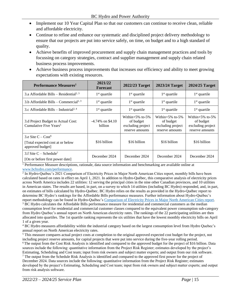- Implement our 10 Year Capital Plan so that our customers can continue to receive clean, reliable and affordable electricity.
- Continue to refine and enhance our systematic and disciplined project delivery methodology to ensure that our projects are put into service safely, on time, on budget and to a high standard of quality.
- Achieve benefits of improved procurement and supply chain management practices and tools by focussing on category strategies, contract and supplier management and supply chain related business process improvements.
- Achieve business process improvements that increases our efficiency and ability to meet growing expectations with existing resources.

| Performance Measures <sup>1</sup>                                             | 2021/22<br><b>Forecast</b>     | 2022/23 Target                                                               | 2023/24 Target                                                           | 2024/25 Target                                                           |
|-------------------------------------------------------------------------------|--------------------------------|------------------------------------------------------------------------------|--------------------------------------------------------------------------|--------------------------------------------------------------------------|
| 3.a Affordable Bills – Residential <sup>2, 3</sup>                            | $1st$ quartile                 | $1st$ quartile                                                               | $1st$ quartile                                                           | $1st$ quartile                                                           |
| 3.b Affordable Bills – Commercial <sup>2, 3</sup>                             | $1st$ quartile                 | $1st$ quartile                                                               | $1st$ quartile                                                           | $1st$ quartile                                                           |
| 3.c Affordable Bills – Industrial <sup>2, 4</sup>                             | $1st$ quartile                 | $1st$ quartile<br>$1st$ quartile                                             |                                                                          | $1st$ quartile                                                           |
| 3.d Project Budget to Actual Cost:<br>Cumulative Five Years <sup>5</sup>      | $-4.74\%$ on \$4.10<br>billion | Within $+5\%$ to $-5\%$<br>of budget<br>excluding project<br>reserve amounts | Within $+5\%$ to-5%<br>of budget<br>excluding project<br>reserve amounts | Within $+5\%$ to-5%<br>of budget<br>excluding project<br>reserve amounts |
| 3.e Site $C - Cost^6$<br>[Total expected cost at or below<br>approved budget] | \$16 billion                   | \$16 billion                                                                 | \$16 billion                                                             | \$16 billion                                                             |
| 3.f Site $C -$ Schedule <sup>7</sup><br>[On or before first power date]       | December 2024                  | December 2024                                                                | December 2024                                                            | December 2024                                                            |

<sup>1</sup> Performance Measure descriptions, rationale, data source information and benchmarking are available online at [www.bchydro.com/performance.](http://www.bchydro.com/performance)

<sup>2</sup> In Hydro-Québec's 2021 Comparison of Electricity Prices in Major North American Cities report, monthly bills have been calculated based on rates in effect on April 1, 2021. In addition to Hydro-Québec, this comparative analysis of electricity prices across North America includes 22 utilities: 12 serving the principal cities in the nine other Canadian provinces, and 10 utilities in American states. The results are based, in part, on a survey to which 14 utilities (including BC Hydro) responded, and, in part, on estimates of bills calculated by Hydro-Québec. BC Hydro relies on the results as provided in the Hydro-Québec report to determine BC Hydro's rankings for the Affordable Bills performance measures. Further information about Hydro-Québec's report methodology can be found in Hydro-Québec's [Comparison of Electricity Prices in Major North American Cities report.](https://www.hydroquebec.com/data/documents-donnees/pdf/comparison-electricity-prices.pdf)  $3$  BC Hydro calculates the Affordable Bills performance measure for residential and commercial customers as the median

consumption level for residential and commercial customer classes compared to the equivalent power consumption sub-category from Hydro Quebec's annual report on North American electricity rates. The rankings of the 22 participating utilities are then allocated into quartiles. The 1st quartile ranking represents the six utilities that have the lowest monthly electricity bills on April 1 of a given year.

<sup>4</sup> BC Hydro measures affordability within the industrial category based on the largest consumption level from Hydro Quebec's annual report on North American electricity rates.

<sup>5</sup> This measure compares actual project costs at completion to the original approved expected cost budget for the project, not including project reserve amounts, for capital projects that were put into service during the five-year rolling period. <sup>6</sup>The output from the Cost Risk Analysis is identified and compared to the approved budget for the project of \$16 billion. Data sources include the following: quantitative information from the Project Risk Register; estimates developed by the project's Estimating, Scheduling and Cost team; input from risk owners and subject matter experts; and output from our risk software.  $<sup>7</sup>$  The output from the Schedule Risk Analysis is identified and compared to the approved first power for the project of</sup> December 2024. Data sources include the following: quantitative information from the Project Risk Register; estimates developed by the project's Estimating, Scheduling and Cost team; input from risk owners and subject matter experts; and output

from risk analysis software.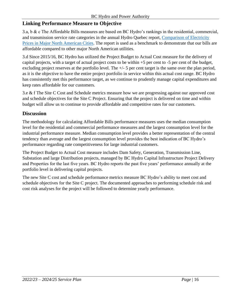#### **Linking Performance Measure to Objective**

3.a, b & c The Affordable Bills measures are based on BC Hydro's rankings in the residential, commercial, and transmission service rate categories in the annual Hydro Quebec report, [Comparison of Electricity](https://www.hydroquebec.com/data/documents-donnees/pdf/comparison-electricity-prices.pdf)  [Prices in Major North American Cities.](https://www.hydroquebec.com/data/documents-donnees/pdf/comparison-electricity-prices.pdf) The report is used as a benchmark to demonstrate that our bills are affordable compared to other major North American utilities.

3.d Since 2015/16, BC Hydro has utilized the Project Budget to Actual Cost measure for the delivery of capital projects, with a target of actual project costs to be within +5 per cent to -5 per cent of the budget, excluding project reserves at the portfolio level. The +/- 5 per cent target is the same over the plan period, as it is the objective to have the entire project portfolio in service within this actual cost range. BC Hydro has consistently met this performance target, as we continue to prudently manage capital expenditures and keep rates affordable for our customers.

3.e & f The Site C Cost and Schedule metrics measure how we are progressing against our approved cost and schedule objectives for the Site C Project. Ensuring that the project is delivered on time and within budget will allow us to continue to provide affordable and competitive rates for our customers.

#### **Discussion**

The methodology for calculating Affordable Bills performance measures uses the median consumption level for the residential and commercial performance measures and the largest consumption level for the industrial performance measure. Median consumption level provides a better representation of the central tendency than average and the largest consumption level provides the best indication of BC Hydro's performance regarding rate competitiveness for large industrial customers.

The Project Budget to Actual Cost measure includes Dam Safety, Generation, Transmission Line, Substation and large Distribution projects, managed by BC Hydro Capital Infrastructure Project Delivery and Properties for the last five years. BC Hydro reports the past five years' performance annually at the portfolio level in delivering capital projects.

The new Site C cost and schedule performance metrics measure BC Hydro's ability to meet cost and schedule objectives for the Site C project. The documented approaches to performing schedule risk and cost risk analyses for the project will be followed to determine yearly performance.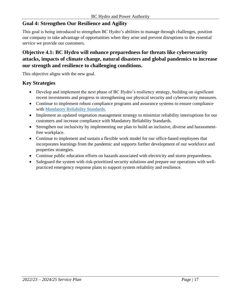## **Goal 4: Strengthen Our Resilience and Agility**

This goal is being introduced to strengthen BC Hydro's abilities to manage through challenges, position our company to take advantage of opportunities when they arise and prevent disruptions to the essential service we provide our customers.

#### **Objective 4.1: BC Hydro will enhance preparedness for threats like cybersecurity attacks, impacts of climate change, natural disasters and global pandemics to increase our strength and resilience to challenging conditions.**

This objective aligns with the new goal.

#### **Key Strategies**

- Develop and implement the next phase of BC Hydro's resiliency strategy, building on significant recent investments and progress in strengthening our physical security and cybersecurity measures.
- Continue to implement robust compliance programs and assurance systems to ensure compliance with [Mandatory Reliability Standards.](https://www.bcuc.com/WhatWeDo/MRS)
- Implement an updated vegetation management strategy to minimize reliability interruptions for our customers and increase compliance with Mandatory Reliability Standards.
- Strengthen our inclusivity by implementing our plan to build an inclusive, diverse and harassmentfree workplace.
- Continue to implement and sustain a flexible work model for our office-based employees that incorporates learnings from the pandemic and supports further development of our workforce and properties strategies.
- Continue public education efforts on hazards associated with electricity and storm preparedness.
- Safeguard the system with risk-prioritized security solutions and prepare our operations with wellpracticed emergency response plans to support system reliability and resilience.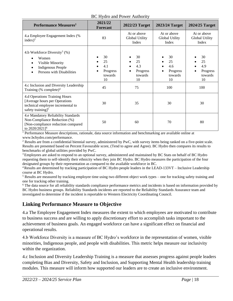| BC Hydro and Power Authority |  |
|------------------------------|--|
|------------------------------|--|

| Performance Measures <sup>1</sup>                                                                                                       | 2021/22<br><b>Forecast</b>                   | 2022/23 Target                               | 2023/24 Target                               | 2024/25 Target                               |
|-----------------------------------------------------------------------------------------------------------------------------------------|----------------------------------------------|----------------------------------------------|----------------------------------------------|----------------------------------------------|
| 4.a Employee Engagement Index (%<br>index) <sup>2</sup>                                                                                 | 83                                           | At or above<br>Global Utility<br>Index       | At or above<br>Global Utility<br>Index       | At or above<br>Global Utility<br>Index       |
| 4.b Workforce Diversity <sup>3</sup> $(\%)$<br>Women<br>Visible Minority<br><b>Indigenous People</b><br>Persons with Disabilities       | 30<br>25<br>4.1<br>Progress<br>towards<br>10 | 30<br>25<br>4.3<br>Progress<br>towards<br>10 | 30<br>25<br>4.6<br>Progress<br>towards<br>10 | 30<br>25<br>4.9<br>Progress<br>towards<br>10 |
| 4.c Inclusion and Diversity Leadership<br>Training (% complete) <sup>4</sup>                                                            | 45                                           | 75                                           | 100                                          | 100                                          |
| 4.d Operations Training Hours<br>[Average hours per Operations<br>technical employee incremental to<br>safety training] $5$             | 30                                           | 35                                           | 30                                           | 30                                           |
| 4.e Mandatory Reliability Standards<br>Non-Compliance Reduction (%)<br>[Non-compliance reduction compared<br>to 2020/2021] <sup>6</sup> | 50                                           | 60                                           | 70                                           | 80                                           |

<sup>1</sup> Performance Measure descriptions, rationale, data source information and benchmarking are available online at [www.bchydro.com/performance.](http://www.bchydro.com/performance)

<sup>2</sup> Results are from a confidential biennial survey, administered by PwC, with survey items being ranked on a five-point scale. Results are presented based on Percent Favourable score, (Tend to agree and Agree). BC Hydro then compares its results to benchmarks of global utilities provided by PwC.

<sup>3</sup> Employees are asked to respond to an optional survey, administered and maintained by BC Stats on behalf of BC Hydro requesting them to self-identify their ethnicity when they join BC Hydro. BC Hydro measures the participation of the four designated groups by their representation as compared to the available workforce in BC.

<sup>4</sup>Results are determined by tracking participation of BC Hydro people leaders in the LEAD-133VT – Inclusive Leadership course at BC Hydro.

<sup>5</sup> Results are measured by tracking employee time using two different object work types – one for tracking safety training and one for tracking other training.

<sup>6</sup> The data source for all reliability standards compliance performance metrics and incidents is based on information provided by BC Hydro business groups. Reliability Standards incidents are reported to the Reliability Standards Assurance team and investigated to determine if the incident is reportable to Western Electricity Coordinating Council.

#### **Linking Performance Measure to Objective**

4.a The Employee Engagement Index measures the extent to which employees are motivated to contribute to business success and are willing to apply discretionary effort to accomplish tasks important to the achievement of business goals. An engaged workforce can have a significant effect on financial and operational results.

4.b Workforce Diversity is a measure of BC Hydro's workforce in the representation of women, visible minorities, Indigenous people, and people with disabilities. This metric helps measure our inclusivity within the organization.

4.c Inclusion and Diversity Leadership Training is a measure that assesses progress against people leaders completing Bias and Diversity, Safety and Inclusion, and Supporting Mental Health leadership training modules. This measure will inform how supported our leaders are to create an inclusive environment.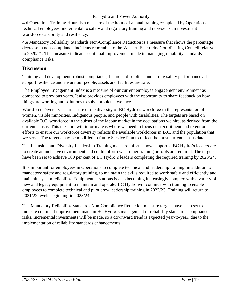4.d Operations Training Hours is a measure of the hours of annual training completed by Operations technical employees, incremental to safety and regulatory training and represents an investment in workforce capability and resiliency.

4.e Mandatory Reliability Standards Non-Compliance Reduction is a measure that shows the percentage decrease in non-compliance incidents reportable to the Western Electricity Coordinating Council relative to 2020/21. This measure indicates continual improvement made in managing reliability standards compliance risks.

#### **Discussion**

Training and development, robust compliance, financial discipline, and strong safety performance all support resilience and ensure our people, assets and facilities are safe.

The Employee Engagement Index is a measure of our current employee engagement environment as compared to previous years. It also provides employees with the opportunity to share feedback on how things are working and solutions to solve problems we face.

Workforce Diversity is a measure of the diversity of BC Hydro's workforce in the representation of women, visible minorities, Indigenous people, and people with disabilities. The targets are based on available B.C. workforce in the subset of the labour market in the occupations we hire, as derived from the current census. This measure will inform areas where we need to focus our recruitment and retention efforts to ensure our workforce diversity reflects the available workforces in B.C. and the population that we serve. The targets may be modified in future Service Plan to reflect the most current census data.

The Inclusion and Diversity Leadership Training measure informs how supported BC Hydro's leaders are to create an inclusive environment and could inform what other training or tools are required. The targets have been set to achieve 100 per cent of BC Hydro's leaders completing the required training by 2023/24.

It is important for employees in Operations to complete technical and leadership training, in addition to mandatory safety and regulatory training, to maintain the skills required to work safely and efficiently and maintain system reliability. Equipment at stations is also becoming increasingly complex with a variety of new and legacy equipment to maintain and operate. BC Hydro will continue with training to enable employees to complete technical and pilot crew leadership training in 2022/23. Training will return to 2021/22 levels beginning in 2023/24.

The Mandatory Reliability Standards Non-Compliance Reduction measure targets have been set to indicate continual improvement made in BC Hydro's management of reliability standards compliance risks. Incremental investments will be made, so a downward trend is expected year-to-year, due to the implementation of reliability standards enhancements.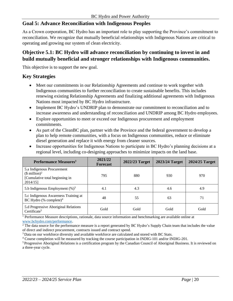#### **Goal 5: Advance Reconciliation with Indigenous Peoples**

As a Crown corporation, BC Hydro has an important role to play supporting the Province's commitment to reconciliation. We recognize that mutually beneficial relationships with Indigenous Nations are critical to operating and growing our system of clean electricity.

#### **Objective 5.1: BC Hydro will advance reconciliation by continuing to invest in and build mutually beneficial and stronger relationships with Indigenous communities.**

This objective is to support the new goal.

#### **Key Strategies**

- Meet our commitments in our Relationship Agreements and continue to work together with Indigenous communities to further reconciliation to create sustainable benefits. This includes renewing existing Relationship Agreements and finalizing additional agreements with Indigenous Nations most impacted by BC Hydro infrastructure.
- Implement BC Hydro's UNDRIP plan to demonstrate our commitment to reconciliation and to increase awareness and understanding of reconciliation and UNDRIP among BC Hydro employees.
- Explore opportunities to meet or exceed our Indigenous procurement and employment commitments.
- As part of the CleanBC plan, partner with the Province and the federal government to develop a plan to help remote communities, with a focus on Indigenous communities, reduce or eliminate diesel generation and replace it with energy from cleaner sources.
- Increase opportunities for Indigenous Nations to participate in BC Hydro's planning decisions at a regional level, including co-designing approaches to minimize impacts on the land base.

| Performance Measures <sup>1</sup>                                                               | 2021/22<br><b>Forecast</b> | 2022/23 Target | 2023/24 Target | 2024/25 Target |
|-------------------------------------------------------------------------------------------------|----------------------------|----------------|----------------|----------------|
| 5.a Indigenous Procurement<br>$($$ million $)^2$<br>[Cumulative total beginning in]<br>2014/15] | 795                        | 880            | 930            | 970            |
| 5.b Indigenous Employment $(\%)^3$                                                              | 4.1                        | 4.3            | 4.6            | 4.9            |
| 5.c Indigenous Awareness Training at<br>BC Hydro (% complete) <sup>4</sup>                      | 48                         | 55             | 63             | 71             |
| 5.d Progressive Aboriginal Relations<br>Certificate <sup>5</sup>                                | Gold                       | Gold           | Gold           | Gold           |

<sup>1</sup> Performance Measure descriptions, rationale, data source information and benchmarking are available online at [www.bchydro.com/performance.](http://www.bchydro.com/performance)

<sup>2</sup> The data source for the performance measure is a report generated by BC Hydro's Supply Chain team that includes the value of direct and indirect procurement, contracts issued and contract spend.

<sup>3</sup> Data on our workforce diversity and available workforce are calculated and stored with BC Stats.

<sup>4</sup> Course completion will be measured by tracking the course participation in INDIG-101 and/or INDIG-201.

<sup>5</sup> Progressive Aboriginal Relations is a certification program by the Canadian Council of Aboriginal Business. It is reviewed on a three-year cycle.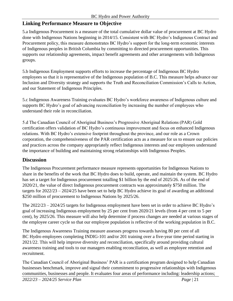#### **Linking Performance Measure to Objective**

5.a Indigenous Procurement is a measure of the total cumulative dollar value of procurement at BC Hydro done with Indigenous Nations beginning in 2014/15. Consistent with BC Hydro's Indigenous Contract and Procurement policy, this measure demonstrates BC Hydro's support for the long-term economic interests of Indigenous peoples in British Columbia by committing to directed procurement opportunities. This supports our relationship agreements, impact benefit agreements and other arrangements with Indigenous groups.

5.b Indigenous Employment supports efforts to increase the percentage of Indigenous BC Hydro employees so that it is representative of the Indigenous population of B.C. This measure helps advance our Inclusion and Diversity strategy and supports the Truth and Reconciliation Commission's Calls to Action, and our Statement of Indigenous Principles.

5.c Indigenous Awareness Training evaluates BC Hydro's workforce awareness of Indigenous culture and supports BC Hydro's goal of advancing reconciliation by increasing the number of employees who understand their role in reconciliation.

5.d The Canadian Council of Aboriginal Business's Progressive Aboriginal Relations (PAR) Gold certification offers validation of BC Hydro's continuous improvement and focus on enhanced Indigenous relations. With BC Hydro's extensive footprint throughout the province, and our role as a Crown corporation, the comprehensiveness of the PAR certification acts as a measure for us to ensure our policies and practices across the company appropriately reflect Indigenous interests and our employees understand the importance of building and maintaining strong relationships with Indigenous Peoples.

#### **Discussion**

The Indigenous Procurement performance measure represents opportunities for Indigenous Nations to share in the benefits of the work that BC Hydro does to build, operate, and maintain the system. BC Hydro has set a target for Indigenous procurement totalling \$1 billion by the end of 2025/26. As of the end of 2020/21, the value of direct Indigenous procurement contracts was approximately \$750 million. The targets for 2022/23 – 2024/25 have been set to help BC Hydro achieve its goal of awarding an additional \$250 million of procurement to Indigenous Nations by 2025/26.

The 2022/23 – 2024/25 targets for Indigenous employment have been set in order to achieve BC Hydro's goal of increasing Indigenous employment by 25 per cent from 2020/21 levels (from 4 per cent to 5 per cent), by 2025/26. This measure will also help determine if process changes are needed at various stages of the employee career cycle so that our employee population is reflective of the working population in B.C.

The Indigenous Awareness Training measure assesses progress towards having 80 per cent of all BC Hydro employees completing INDIG-101 and/or 201 training over a five-year time period starting in 2021/22. This will help improve diversity and reconciliation, specifically around providing cultural awareness training and tools to our managers enabling reconciliation, as well as employee retention and recruitment.

The Canadian Council of Aboriginal Business' PAR is a certification program designed to help Canadian businesses benchmark, improve and signal their commitment to progressive relationships with Indigenous communities, businesses and people. It evaluates four areas of performance including: leadership actions;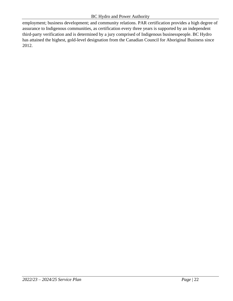employment; business development; and community relations. PAR certification provides a high degree of assurance to Indigenous communities, as certification every three years is supported by an independent third-party verification and is determined by a jury comprised of Indigenous businesspeople. BC Hydro has attained the highest, gold-level designation from the Canadian Council for Aboriginal Business since 2012.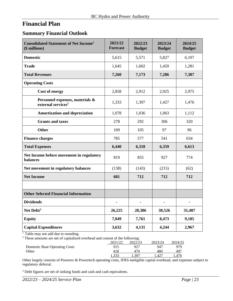## <span id="page-22-0"></span>**Financial Plan**

#### <span id="page-22-1"></span>**Summary Financial Outlook**

| <b>Consolidated Statement of Net Income<sup>1</sup></b><br>(\$ millions) | 2021/22<br><b>Forecast</b> | 2022/23<br><b>Budget</b> | 2023/24<br><b>Budget</b> | 2024/25<br><b>Budget</b> |
|--------------------------------------------------------------------------|----------------------------|--------------------------|--------------------------|--------------------------|
| <b>Domestic</b>                                                          | 5,615                      | 5,571                    | 5,827                    | 6,107                    |
| <b>Trade</b>                                                             | 1,645                      | 1,602                    | 1,459                    | 1,281                    |
| <b>Total Revenues</b>                                                    | 7,260                      | 7,173                    | 7,286                    | 7,387                    |
| <b>Operating Costs</b>                                                   |                            |                          |                          |                          |
| <b>Cost of energy</b>                                                    | 2,858                      | 2,912                    | 2,925                    | 2,975                    |
| Personnel expenses, materials &<br>external services <sup>2</sup>        | 1,333                      | 1,397                    | 1,427                    | 1,476                    |
| <b>Amortization and depreciation</b>                                     | 1,078                      | 1,036                    | 1,063                    | 1,112                    |
| <b>Grants and taxes</b>                                                  | 278                        | 292                      | 306                      | 320                      |
| <b>Other</b>                                                             | 109                        | 105                      | 97                       | 96                       |
| <b>Finance charges</b>                                                   | 785                        | 577                      | 541                      | 634                      |
| <b>Total Expenses</b>                                                    | 6,440                      | 6,318                    | 6,359                    | 6,613                    |
| Net Income before movement in regulatory<br><b>balances</b>              | 819                        | 855                      | 927                      | 774                      |
| Net movement in regulatory balances                                      | (138)                      | (143)                    | (215)                    | (62)                     |
| <b>Net Income</b>                                                        | 681                        | 712                      | 712                      | 712                      |
|                                                                          |                            |                          |                          |                          |
| <b>Other Selected Financial Information</b>                              |                            |                          |                          |                          |
| <b>Dividends</b>                                                         | $\blacksquare$             | $\blacksquare$           | $\blacksquare$           | $\blacksquare$           |
| Net Debt <sup>3</sup>                                                    | 26,225                     | 28,386                   | 30,526                   | 31,487                   |
| <b>Equity</b>                                                            | 7,049                      | 7,761                    | 8,473                    | 9,185                    |
| <b>Capital Expenditures</b>                                              | 3,632                      | 4,131                    | 4,244                    | 2,967                    |

<sup>1</sup> Table may not add due to rounding.

 $2$  These amounts are net of capitalized overhead and consist of the following:

|                                      | 2021/22 | 2022/23 | 2023/24 | 2024/25 |
|--------------------------------------|---------|---------|---------|---------|
| <b>Domestic Base Operating Costs</b> | 915     | 927     | 947     | 979     |
| Other                                | 418     |         | 480     | 497     |
|                                      | 1,333   | $39-$   | .427    |         |

Other largely consists of Powerex & Powertech operating costs, IFRS-ineligible capital overhead, and expenses subject to regulatory deferral.

<sup>3</sup> Debt figures are net of sinking funds and cash and cash equivalents.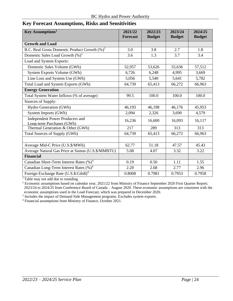<span id="page-23-0"></span>

| <b>Key Forecast Assumptions, Risks and Sensitivities</b> |  |
|----------------------------------------------------------|--|
|----------------------------------------------------------|--|

| Key Assumptions <sup>1</sup>                                        | 2021/22<br><b>Forecast</b> | 2022/23<br><b>Budget</b> | 2023/24<br><b>Budget</b> | 2024/25<br><b>Budget</b> |
|---------------------------------------------------------------------|----------------------------|--------------------------|--------------------------|--------------------------|
| <b>Growth and Load</b>                                              |                            |                          |                          |                          |
| B.C. Real Gross Domestic Product Growth $(\%)^2$                    | 3.0                        | 3.8                      | 2.7                      | 1.8                      |
| Domestic Sales Load Growth $(\%)$ <sup>3</sup>                      | 3.6                        | 1.3                      | 3.7                      | 3.4                      |
| Load and System Exports:                                            |                            |                          |                          |                          |
| Domestic Sales Volume (GWh)                                         | 52,957                     | 53,626                   | 55,636                   | 57,512                   |
| System Exports Volume (GWh)                                         | 6,726                      | 6,248                    | 4,995                    | 3,669                    |
| Line Loss and System Use (GWh)                                      | 5,056                      | 5,540                    | 5,641                    | 5,782                    |
| Total Load and System Exports (GWh)                                 | 64,739                     | 65,413                   | 66,272                   | 66,963                   |
| <b>Energy Generation</b>                                            |                            |                          |                          |                          |
| Total System Water Inflows (% of average)                           | 99.5                       | 100.0                    | 100.0                    | 100.0                    |
| Sources of Supply:                                                  |                            |                          |                          |                          |
| Hydro Generation (GWh)                                              | 46,193                     | 46,198                   | 46,176                   | 45,953                   |
| System Imports (GWh)                                                | 2,094                      | 2,326                    | 3,690                    | 4,579                    |
| <b>Independent Power Producers and</b><br>Long-term Purchases (GWh) | 16,236                     | 16,600                   | 16,093                   | 16,117                   |
| Thermal Generation & Other (GWh)                                    | 217                        | 289                      | 313                      | 313                      |
| Total Sources of Supply (GWh)                                       | 64,739                     | 65,413                   | 66,272                   | 66,963                   |
|                                                                     |                            |                          |                          |                          |
| Average Mid-C Price (U.S.\$/MWh)                                    | 62.77                      | 51.18                    | 47.57                    | 45.43                    |
| Average Natural Gas Price at Sumas (U.S. \$/MMBTU)                  | 5.08                       | 4.07                     | 3.32                     | 3.22                     |
| <b>Financial</b>                                                    |                            |                          |                          |                          |
| Canadian Short-Term Interest Rates (%) <sup>4</sup>                 | 0.19                       | 0.50                     | 1.11                     | 1.55                     |
| Canadian Long-Term Interest Rates (%) <sup>4</sup>                  | 2.20                       | 2.68                     | 2.77                     | 2.96                     |
| Foreign Exchange Rate (U.S.\$:Cdn\$) <sup>4</sup>                   | 0.8008                     | 0.7981                   | 0.7953                   | 0.7958                   |

<sup>1</sup>Table may not add due to rounding.

<sup>2</sup> Economic assumptions based on calendar year, 2021/22 from Ministry of Finance September 2020 First Quarter Report; 2023/24 to 2024/25 from Conference Board of Canada – August 2020. These economic assumptions are consistent with the economic assumptions used in the Load Forecast, which was prepared in December 2020.

<sup>3</sup> Includes the impact of Demand Side Management programs. Excludes system exports.

<sup>4</sup> Financial assumptions from Ministry of Finance, October 2021.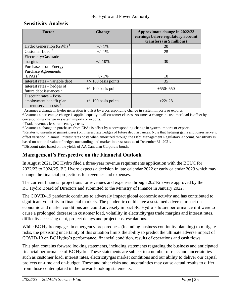#### <span id="page-24-0"></span>**Sensitivity Analysis**

| <b>Factor</b>                                                                           | <b>Change</b>          | Approximate change in 2022/23<br>earnings before regulatory account<br>transfers (in \$ millions) |
|-----------------------------------------------------------------------------------------|------------------------|---------------------------------------------------------------------------------------------------|
| Hydro Generation (GWh) $1$                                                              | $+/- 1\%$              | 20                                                                                                |
| Customer Load <sup>2</sup>                                                              | $+/- 1\%$              | 25                                                                                                |
| Electricity/Gas trade<br>margins $3$                                                    | $+/- 10\%$             | 30                                                                                                |
| <b>Purchases from Energy</b><br><b>Purchase Agreements</b>                              |                        |                                                                                                   |
| (EPAs) <sup>4</sup>                                                                     | $+/- 1\%$              | 10                                                                                                |
| Interest rates – variable debt                                                          | $+/- 100$ basis points | 35                                                                                                |
| Interest rates – hedges of<br>future debt issuances <sup>5</sup>                        | $+/- 100$ basis points | $+550/-650$                                                                                       |
| Discount rates – Post-<br>employment benefit plan<br>current service costs <sup>6</sup> | $+/- 100$ basis points | $+22/-28$                                                                                         |

<sup>1</sup> Assumes a change in hydro generation is offset by a corresponding change in system imports or exports.

<sup>2</sup> Assumes a percentage change is applied equally to all customer classes. Assumes a change in customer load is offset by a corresponding change in system imports or exports.

<sup>3</sup> Trade revenues less trade energy costs.

<sup>4</sup>Assumes a change in purchases from EPAs is offset by a corresponding change in system imports or exports.

<sup>5</sup>Relates to unrealized gains/(losses) on interest rate hedges of future debt issuances. Note that hedging gains and losses serve to offset variation in annual interest rates costs when amortized through the Debt Management Regulatory Account. Sensitivity is based on notional value of hedges outstanding and market interest rates as of December 31, 2021.

<sup>6</sup>Discount rates based on the yields of AA Canadian Corporate bonds.

#### <span id="page-24-1"></span>**Management's Perspective on the Financial Outlook**

In August 2021, BC Hydro filed a three-year revenue requirements application with the BCUC for 2022/23 to 2024/25. BC Hydro expects a decision in late calendar 2022 or early calendar 2023 which may change the financial projections for revenues and expenses.

The current financial projections for revenues and expenses through 2024/25 were approved by the BC Hydro Board of Directors and submitted to the Ministry of Finance in January 2022.

The COVID-19 pandemic continues to adversely impact global economic activity and has contributed to significant volatility in financial markets. The pandemic could have a sustained adverse impact on economic and market conditions and could adversely impact BC Hydro's future performance if it were to cause a prolonged decrease in customer load, volatility in electricity/gas trade margins and interest rates, difficulty accessing debt, project delays and project cost escalations.

While BC Hydro engages in emergency preparedness (including business continuity planning) to mitigate risks, the persisting uncertainty of this situation limits the ability to predict the ultimate adverse impact of COVID-19 on BC Hydro's performance, financial condition, results of operations and cash flows.

This plan contains forward looking statements, including statements regarding the business and anticipated financial performance of BC Hydro. These statements are subject to a number of risks and uncertainties such as customer load, interest rates, electricity/gas market conditions and our ability to deliver our capital projects on-time and on-budget. These and other risks and uncertainties may cause actual results to differ from those contemplated in the forward-looking statements.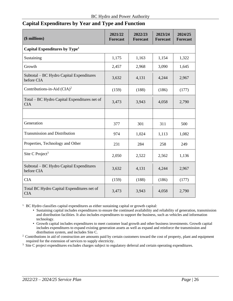#### <span id="page-25-0"></span>**Capital Expenditures by Year and Type and Function**

| (\$ millions)                                              | 2021/22<br><b>Forecast</b> | 2022/23<br><b>Forecast</b> | 2023/24<br><b>Forecast</b> | 2024/25<br><b>Forecast</b> |
|------------------------------------------------------------|----------------------------|----------------------------|----------------------------|----------------------------|
| Capital Expenditures by Type <sup>1</sup>                  |                            |                            |                            |                            |
| Sustaining                                                 | 1,175                      | 1,163                      | 1,154                      | 1,322                      |
| Growth                                                     | 2,457                      | 2,968                      | 3,090                      | 1,645                      |
| Subtotal – BC Hydro Capital Expenditures<br>before CIA     | 3,632                      | 4,131                      | 4,244                      | 2,967                      |
| Contributions-in-Aid $(CIA)^2$                             | (159)                      | (188)                      | (186)                      | (177)                      |
| Total – BC Hydro Capital Expenditures net of<br><b>CIA</b> | 3,473                      | 3,943                      | 4,058                      | 2,790                      |
|                                                            |                            |                            |                            |                            |
| Generation                                                 | 377                        | 301                        | 311                        | 500                        |
| <b>Transmission and Distribution</b>                       | 974                        | 1,024                      | 1,113                      | 1,082                      |
| Properties, Technology and Other                           | 231                        | 284                        | 258                        | 249                        |
| Site C Project <sup>3</sup>                                | 2,050                      | 2,522                      | 2,562                      | 1,136                      |
| Subtotal – BC Hydro Capital Expenditures<br>before CIA     | 3,632                      | 4,131                      | 4,244                      | 2,967                      |
| <b>CIA</b>                                                 | (159)                      | (188)                      | (186)                      | (177)                      |
| Total BC Hydro Capital Expenditures net of<br><b>CIA</b>   | 3,473                      | 3,943                      | 4,058                      | 2,790                      |

<sup>1.</sup> BC Hydro classifies capital expenditures as either sustaining capital or growth capital:

- Sustaining capital includes expenditures to ensure the continued availability and reliability of generation, transmission and distribution facilities. It also includes expenditures to support the business, such as vehicles and information technology.
- Growth capital includes expenditures to meet customer load growth and other business investments. Growth capital includes expenditures to expand existing generation assets as well as expand and reinforce the transmission and distribution system, and includes Site C.
- <sup>2</sup> Contributions in aid of construction are amounts paid by certain customers toward the cost of property, plant and equipment required for the extension of services to supply electricity.
- <sup>3.</sup> Site C project expenditures excludes charges subject to regulatory deferral and certain operating expenditures.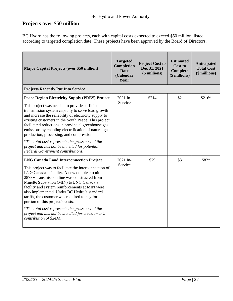## <span id="page-26-0"></span>**Projects over \$50 million**

BC Hydro has the following projects, each with capital costs expected to exceed \$50 million, listed according to targeted completion date. These projects have been approved by the Board of Directors.

| <b>Major Capital Projects (over \$50 million)</b>                                                                                                                                                                                                                                                                                                                                                                                                                                                                                                                                       | <b>Targeted</b><br>Completion<br><b>Date</b><br>(Calendar<br>Year) | <b>Project Cost to</b><br>Dec 31, 2021<br>(\$ millions) | <b>Estimated</b><br>Cost to<br>Complete<br>(\$ millions) | <b>Anticipated</b><br><b>Total Cost</b><br>(\$ millions) |
|-----------------------------------------------------------------------------------------------------------------------------------------------------------------------------------------------------------------------------------------------------------------------------------------------------------------------------------------------------------------------------------------------------------------------------------------------------------------------------------------------------------------------------------------------------------------------------------------|--------------------------------------------------------------------|---------------------------------------------------------|----------------------------------------------------------|----------------------------------------------------------|
| <b>Projects Recently Put Into Service</b>                                                                                                                                                                                                                                                                                                                                                                                                                                                                                                                                               |                                                                    |                                                         |                                                          |                                                          |
| <b>Peace Region Electricity Supply (PRES) Project</b><br>This project was needed to provide sufficient<br>transmission system capacity to serve load growth<br>and increase the reliability of electricity supply to<br>existing customers in the South Peace. This project<br>facilitated reductions in provincial greenhouse gas<br>emissions by enabling electrification of natural gas<br>production, processing, and compression.<br>*The total cost represents the gross cost of the<br>project and has not been netted for potential<br><b>Federal Government contributions.</b> | 2021 In-<br>Service                                                | \$214                                                   | \$2                                                      | $$216*$                                                  |
| <b>LNG Canada Load Interconnection Project</b><br>This project was to facilitate the interconnection of<br>LNG Canada's facility. A new double circuit<br>287kV transmission line was constructed from<br>Minette Substation (MIN) to LNG Canada's<br>facility and system reinforcements at MIN were<br>also implemented. Under BC Hydro's standard<br>tariffs, the customer was required to pay for a<br>portion of this project's costs.<br>*The total cost represents the gross cost of the<br>project and has not been netted for a customer's<br>contribution of \$24M.            | 2021 In-<br>Service                                                | \$79                                                    | \$3                                                      | \$82*                                                    |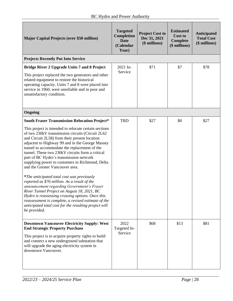| <b>Major Capital Projects (over \$50 million)</b>                                                                                                                                                                                                                                                                                                                                                                                                                                                                                                                                                                                                                                                                                                                                                                                        | <b>Targeted</b><br>Completion<br><b>Date</b><br>(Calendar<br>Year) | <b>Project Cost to</b><br>Dec 31, 2021<br>(\$ millions) | <b>Estimated</b><br><b>Cost to</b><br><b>Complete</b><br>(\$ millions) | <b>Anticipated</b><br><b>Total Cost</b><br>(\$ millions) |
|------------------------------------------------------------------------------------------------------------------------------------------------------------------------------------------------------------------------------------------------------------------------------------------------------------------------------------------------------------------------------------------------------------------------------------------------------------------------------------------------------------------------------------------------------------------------------------------------------------------------------------------------------------------------------------------------------------------------------------------------------------------------------------------------------------------------------------------|--------------------------------------------------------------------|---------------------------------------------------------|------------------------------------------------------------------------|----------------------------------------------------------|
| <b>Projects Recently Put Into Service</b>                                                                                                                                                                                                                                                                                                                                                                                                                                                                                                                                                                                                                                                                                                                                                                                                |                                                                    |                                                         |                                                                        |                                                          |
| Bridge River 2 Upgrade Units 7 and 8 Project<br>This project replaced the two generators and other<br>related equipment to restore the historical<br>operating capacity. Units 7 and 8 were placed into<br>service in 1960, were unreliable and in poor and<br>unsatisfactory condition.                                                                                                                                                                                                                                                                                                                                                                                                                                                                                                                                                 | 2021 In-<br>Service                                                | \$71                                                    | \$7                                                                    | \$78                                                     |
| Ongoing                                                                                                                                                                                                                                                                                                                                                                                                                                                                                                                                                                                                                                                                                                                                                                                                                                  |                                                                    |                                                         |                                                                        |                                                          |
| <b>South Fraser Transmission Relocation Project*</b>                                                                                                                                                                                                                                                                                                                                                                                                                                                                                                                                                                                                                                                                                                                                                                                     | <b>TBD</b>                                                         | \$27                                                    | \$0                                                                    | \$27                                                     |
| This project is intended to relocate certain sections<br>of two 230kV transmission circuits (Circuit 2L62<br>and Circuit 2L58) from their present location<br>adjacent to Highway 99 and in the George Massey<br>tunnel to accommodate the replacement of the<br>tunnel. These two 230kV circuits form a critical<br>part of BC Hydro's transmission network<br>supplying power to customers in Richmond, Delta<br>and the Greater Vancouver area.<br><i>*The anticipated total cost was previously</i><br>reported as \$76 million. As a result of the<br>announcement regarding Government's Fraser<br>River Tunnel Project on August 18, 2021, BC<br>Hydro is reassessing crossing options. Once this<br>reassessment is complete, a revised estimate of the<br>anticipated total cost for the resulting project will<br>be provided. |                                                                    |                                                         |                                                                        |                                                          |
|                                                                                                                                                                                                                                                                                                                                                                                                                                                                                                                                                                                                                                                                                                                                                                                                                                          |                                                                    |                                                         | \$13                                                                   | \$81                                                     |
| <b>Downtown Vancouver Electricity Supply: West</b><br><b>End Strategic Property Purchase</b><br>This project is to acquire property rights to build<br>and connect a new underground substation that<br>will upgrade the aging electricity system in<br>downtown Vancouver.                                                                                                                                                                                                                                                                                                                                                                                                                                                                                                                                                              | 2022<br>Targeted In-<br>Service                                    | \$68                                                    |                                                                        |                                                          |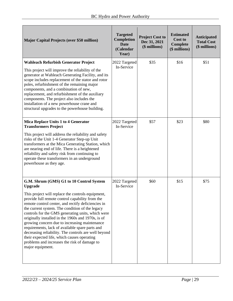| <b>Major Capital Projects (over \$50 million)</b>                                                                                                                                                                                                                                                                                                                                                                                                                                                                                                                                                                                                                     | <b>Targeted</b><br>Completion<br><b>Date</b><br>(Calendar<br>Year) | <b>Project Cost to</b><br>Dec 31, 2021<br>(\$ millions) | <b>Estimated</b><br><b>Cost to</b><br>Complete<br>(\$ millions) | <b>Anticipated</b><br><b>Total Cost</b><br>(\$ millions) |
|-----------------------------------------------------------------------------------------------------------------------------------------------------------------------------------------------------------------------------------------------------------------------------------------------------------------------------------------------------------------------------------------------------------------------------------------------------------------------------------------------------------------------------------------------------------------------------------------------------------------------------------------------------------------------|--------------------------------------------------------------------|---------------------------------------------------------|-----------------------------------------------------------------|----------------------------------------------------------|
| <b>Wahleach Refurbish Generator Project</b><br>This project will improve the reliability of the<br>generator at Wahleach Generating Facility, and its<br>scope includes replacement of the stator and rotor<br>poles, refurbishment of the remaining major<br>components, and a combination of new,<br>replacement, and refurbishment of the auxiliary<br>components. The project also includes the<br>installation of a new powerhouse crane and<br>structural upgrades to the powerhouse building.                                                                                                                                                                  | 2022 Targeted<br>In-Service                                        | \$35                                                    | \$16                                                            | \$51                                                     |
| Mica Replace Units 1 to 4 Generator<br><b>Transformers Project</b><br>This project will address the reliability and safety<br>risks of the Unit 1-4 Generator Step-up Unit<br>transformers at the Mica Generating Station, which<br>are nearing end of life. There is a heightened<br>reliability and safety risk from continuing to<br>operate these transformers in an underground<br>powerhouse as they age.                                                                                                                                                                                                                                                       | 2022 Targeted<br>In-Service                                        | \$57                                                    | \$23                                                            | \$80                                                     |
| G.M. Shrum (GMS) G1 to 10 Control System<br><b>Upgrade</b><br>This project will replace the controls equipment,<br>provide full remote control capability from the<br>remote control center, and rectify deficiencies in<br>the current system. The condition of the legacy<br>controls for the GMS generating units, which were<br>originally installed in the 1960s and 1970s, is of<br>growing concern due to increasing maintenance<br>requirements, lack of available spare parts and<br>decreasing reliability. The controls are well beyond<br>their expected life, which causes operating<br>problems and increases the risk of damage to<br>major equipment. | 2022 Targeted<br>In-Service                                        | \$60                                                    | \$15                                                            | \$75                                                     |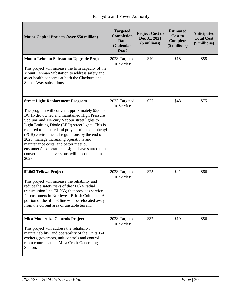| <b>Major Capital Projects (over \$50 million)</b>                                                                                                                                                                                                                                                                                                                                                                                                                                                                                                    | <b>Targeted</b><br>Completion<br><b>Date</b><br>(Calendar<br>Year) | <b>Project Cost to</b><br>Dec 31, 2021<br>(\$ millions) | <b>Estimated</b><br><b>Cost to</b><br><b>Complete</b><br>(\$ millions) | <b>Anticipated</b><br><b>Total Cost</b><br>(\$ millions) |
|------------------------------------------------------------------------------------------------------------------------------------------------------------------------------------------------------------------------------------------------------------------------------------------------------------------------------------------------------------------------------------------------------------------------------------------------------------------------------------------------------------------------------------------------------|--------------------------------------------------------------------|---------------------------------------------------------|------------------------------------------------------------------------|----------------------------------------------------------|
| <b>Mount Lehman Substation Upgrade Project</b><br>This project will increase the firm capacity of the<br>Mount Lehman Substation to address safety and<br>asset health concerns at both the Clayburn and<br>Sumas Way substations.                                                                                                                                                                                                                                                                                                                   | 2023 Targeted<br>In-Service                                        | \$40                                                    | \$18                                                                   | \$58                                                     |
| <b>Street Light Replacement Program</b><br>The program will convert approximately 95,000<br>BC Hydro owned and maintained High Pressure<br>Sodium and Mercury Vapour street lights to<br>Light Emitting Diode (LED) street lights. This is<br>required to meet federal polychlorinated biphenyl<br>(PCB) environmental regulations by the end of<br>2025, manage increasing operations and<br>maintenance costs, and better meet our<br>customers' expectations. Lights have started to be<br>converted and conversions will be complete in<br>2023. | 2023 Targeted<br>In-Service                                        | \$27                                                    | \$48                                                                   | \$75                                                     |
| 5L063 Telkwa Project<br>This project will increase the reliability and<br>reduce the safety risks of the 500kV radial<br>transmission line (5L063) that provides service<br>for customers in Northwest British Columbia. A<br>portion of the 5L063 line will be relocated away<br>from the current area of unstable terrain.                                                                                                                                                                                                                         | 2023 Targeted<br>In-Service                                        | \$25                                                    | \$41                                                                   | \$66                                                     |
| <b>Mica Modernize Controls Project</b><br>This project will address the reliability,<br>maintainability, and operability of the Units 1-4<br>exciters, governors, unit controls and control<br>room controls at the Mica Creek Generating<br>Station.                                                                                                                                                                                                                                                                                                | 2023 Targeted<br>In-Service                                        | \$37                                                    | \$19                                                                   | \$56                                                     |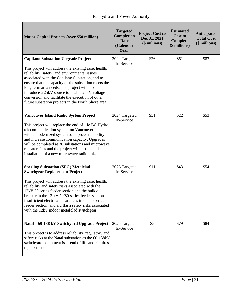| <b>Major Capital Projects (over \$50 million)</b>                                                                                                                                                                                                                                                                                                                                                                                                                          | <b>Targeted</b><br>Completion<br><b>Date</b><br>(Calendar<br>Year) | <b>Project Cost to</b><br>Dec 31, 2021<br>(\$ millions) | <b>Estimated</b><br><b>Cost to</b><br><b>Complete</b><br>(\$ millions) | <b>Anticipated</b><br><b>Total Cost</b><br>(\$ millions) |
|----------------------------------------------------------------------------------------------------------------------------------------------------------------------------------------------------------------------------------------------------------------------------------------------------------------------------------------------------------------------------------------------------------------------------------------------------------------------------|--------------------------------------------------------------------|---------------------------------------------------------|------------------------------------------------------------------------|----------------------------------------------------------|
| <b>Capilano Substation Upgrade Project</b><br>This project will address the existing asset health,<br>reliability, safety, and environmental issues<br>associated with the Capilano Substation, and to<br>ensure that the capacity of the substation meets the<br>long term area needs. The project will also<br>introduce a 25kV source to enable 25kV voltage<br>conversion and facilitate the execution of other<br>future substation projects in the North Shore area. | 2024 Targeted<br>In-Service                                        | \$26                                                    | \$61                                                                   | \$87                                                     |
| Vancouver Island Radio System Project<br>This project will replace the end-of-life BC Hydro<br>telecommunication system on Vancouver Island<br>with a modernized system to improve reliability<br>and increase communication capacity. Upgrades<br>will be completed at 38 substations and microwave<br>repeater sites and the project will also include<br>installation of a new microwave radio link.                                                                    | 2024 Targeted<br>In-Service                                        | \$31                                                    | \$22                                                                   | \$53                                                     |
| <b>Sperling Substation (SPG) Metalclad</b><br><b>Switchgear Replacement Project</b><br>This project will address the existing asset health,<br>reliability and safety risks associated with the<br>12kV 60 series feeder section and the bulk oil<br>breaker in the 12 kV 70/80 series feeder section,<br>insufficient electrical clearances in the 60 series<br>feeder section, and arc flash safety risks associated<br>with the 12kV indoor metalclad switchgear.       | 2025 Targeted<br>In-Service                                        | \$11                                                    | \$43                                                                   | \$54                                                     |
| Natal - 60-138 kV Switchyard Upgrade Project<br>This project is to address reliability, regulatory and<br>safety risks at the Natal substation as the 60-138kV<br>switchyard equipment is at end of life and requires<br>replacement.                                                                                                                                                                                                                                      | 2025 Targeted<br>In-Service                                        | \$5                                                     | \$79                                                                   | \$84                                                     |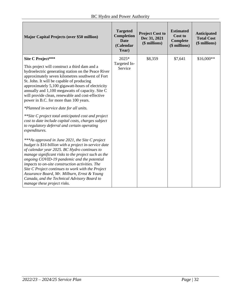| <b>Major Capital Projects (over \$50 million)</b>                                                                                                                                                                                                                                                                                                                                                                                                                                                                                                                                                                                                                                                                                                                                                                                                                                                                                                                                                                                                                                                                                                                         | <b>Targeted</b><br>Completion<br><b>Date</b><br>(Calendar<br>Year) | <b>Project Cost to</b><br>Dec 31, 2021<br>(\$ millions) | <b>Estimated</b><br>Cost to<br>Complete<br>(\$ millions) | <b>Anticipated</b><br><b>Total Cost</b><br>(\$ millions) |
|---------------------------------------------------------------------------------------------------------------------------------------------------------------------------------------------------------------------------------------------------------------------------------------------------------------------------------------------------------------------------------------------------------------------------------------------------------------------------------------------------------------------------------------------------------------------------------------------------------------------------------------------------------------------------------------------------------------------------------------------------------------------------------------------------------------------------------------------------------------------------------------------------------------------------------------------------------------------------------------------------------------------------------------------------------------------------------------------------------------------------------------------------------------------------|--------------------------------------------------------------------|---------------------------------------------------------|----------------------------------------------------------|----------------------------------------------------------|
| <b>Site C Project***</b><br>This project will construct a third dam and a<br>hydroelectric generating station on the Peace River<br>approximately seven kilometres southwest of Fort<br>St. John. It will be capable of producing<br>approximately 5,100 gigawatt-hours of electricity<br>annually and 1,100 megawatts of capacity. Site C<br>will provide clean, renewable and cost-effective<br>power in B.C. for more than 100 years.<br>*Planned in-service date for all units.<br>**Site C project total anticipated cost and project<br>cost to date include capital costs, charges subject<br>to regulatory deferral and certain operating<br>expenditures.<br>***As approved in June 2021, the Site C project<br>budget is \$16 billion with a project in-service date<br>of calendar year 2025. BC Hydro continues to<br>manage significant risks to the project such as the<br>ongoing COVID-19 pandemic and the potential<br>impacts to on-site construction activities. The<br>Site C Project continues to work with the Project<br>Assurance Board, Mr. Milburn, Ernst & Young<br>Canada, and the Technical Advisory Board to<br>manage these project risks. | 2025*<br>Targeted In-<br>Service                                   | \$8,359                                                 | \$7,641                                                  | \$16,000**                                               |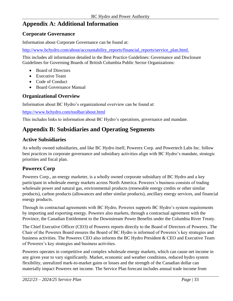## <span id="page-32-0"></span>**Appendix A: Additional Information**

#### **Corporate Governance**

Information about Corporate Governance can be found at:

[http://www.bchydro.com/about/accountability\\_reports/financial\\_reports/service\\_plan.html.](http://www.bchydro.com/about/accountability_reports/financial_reports/service_plan.html)

This includes all information detailed in the Best Practice Guidelines: Governance and Disclosure Guidelines for Governing Boards of British Columbia Public Sector Organizations:

- Board of Directors
- Executive Team
- Code of Conduct
- Board Governance Manual

#### **Organizational Overview**

Information about BC Hydro's organizational overview can be found at:

<https://www.bchydro.com/toolbar/about.html>

This includes links to information about BC Hydro's operations, governance and mandate.

## <span id="page-32-1"></span>**Appendix B: Subsidiaries and Operating Segments**

## **Active Subsidiaries**

As wholly owned subsidiaries, and like BC Hydro itself, Powerex Corp. and Powertech Labs Inc. follow best practices in corporate governance and subsidiary activities align with BC Hydro's mandate, strategic priorities and fiscal plan.

#### **Powerex Corp**

Powerex Corp., an energy marketer, is a wholly owned corporate subsidiary of BC Hydro and a key participant in wholesale energy markets across North America. Powerex's business consists of trading wholesale power and natural gas, environmental products (renewable energy credits or other similar products), carbon products (allowances and other similar products), ancillary energy services, and financial energy products.

Through its contractual agreements with BC Hydro, Powerex supports BC Hydro's system requirements by importing and exporting energy. Powerex also markets, through a contractual agreement with the Province, the Canadian Entitlement to the Downstream Power Benefits under the Columbia River Treaty.

The Chief Executive Officer (CEO) of Powerex reports directly to the Board of Directors of Powerex. The Chair of the Powerex Board ensures the Board of BC Hydro is informed of Powerex's key strategies and business activities. The Powerex CEO also informs the BC Hydro President & CEO and Executive Team of Powerex's key strategies and business activities.

Powerex operates in competitive and complex wholesale energy markets, which can cause net income in any given year to vary significantly. Market, economic and weather conditions, reduced hydro system flexibility, unrealized mark-to-market gains or losses and the strength of the Canadian dollar can materially impact Powerex net income. The Service Plan forecast includes annual trade income from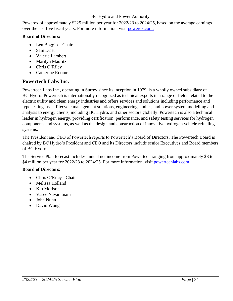Powerex of approximately \$225 million per year for 2022/23 to 2024/25, based on the average earnings over the last five fiscal years. For more information, visit [powerex.com.](http://powerex/_layouts/AccessDenied.aspx?Source=http%3A%2F%2Fpowerex)

#### **Board of Directors:**

- Len Boggio Chair
- Sam Drier
- Valerie Lambert
- Marilyn Mauritz
- Chris O'Riley
- Catherine Roome

#### **Powertech Labs Inc.**

Powertech Labs Inc., operating in Surrey since its inception in 1979, is a wholly owned subsidiary of BC Hydro. Powertech is internationally recognized as technical experts in a range of fields related to the electric utility and clean energy industries and offers services and solutions including performance and type testing, asset lifecycle management solutions, engineering studies, and power system modelling and analysis to energy clients, including BC Hydro, and other sectors globally. Powertech is also a technical leader in hydrogen energy, providing certification, performance, and safety testing services for hydrogen components and systems, as well as the design and construction of innovative hydrogen vehicle refueling systems.

The President and CEO of Powertech reports to Powertech's Board of Directors. The Powertech Board is chaired by BC Hydro's President and CEO and its Directors include senior Executives and Board members of BC Hydro.

The Service Plan forecast includes annual net income from Powertech ranging from approximately \$3 to \$4 million per year for 2022/23 to 2024/25. For more information, visit [powertechlabs.com.](https://www.powertechlabs.com/)

#### **Board of Directors:**

- Chris O'Riley Chair
- Melissa Holland
- Kip Morison
- Vasee Navaratnam
- John Nunn
- David Wong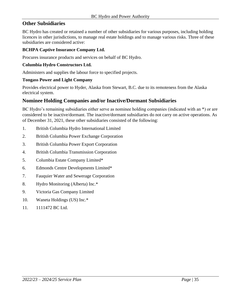#### **Other Subsidiaries**

BC Hydro has created or retained a number of other subsidiaries for various purposes, including holding licences in other jurisdictions, to manage real estate holdings and to manage various risks. Three of these subsidiaries are considered active:

#### **BCHPA Captive Insurance Company Ltd.**

Procures insurance products and services on behalf of BC Hydro.

#### **Columbia Hydro Constructors Ltd.**

Administers and supplies the labour force to specified projects.

#### **Tongass Power and Light Company**

Provides electrical power to Hyder, Alaska from Stewart, B.C. due to its remoteness from the Alaska electrical system.

#### **Nominee Holding Companies and/or Inactive/Dormant Subsidiaries**

BC Hydro's remaining subsidiaries either serve as nominee holding companies (indicated with an \*) or are considered to be inactive/dormant. The inactive/dormant subsidiaries do not carry on active operations. As of December 31, 2021, these other subsidiaries consisted of the following:

- 1. British Columbia Hydro International Limited
- 2. British Columbia Power Exchange Corporation
- 3. British Columbia Power Export Corporation
- 4. British Columbia Transmission Corporation
- 5. Columbia Estate Company Limited\*
- 6. Edmonds Centre Developments Limited\*
- 7. Fauquier Water and Sewerage Corporation
- 8. Hydro Monitoring (Alberta) Inc.\*
- 9. Victoria Gas Company Limited
- 10. Waneta Holdings (US) Inc.\*
- 11. 1111472 BC Ltd.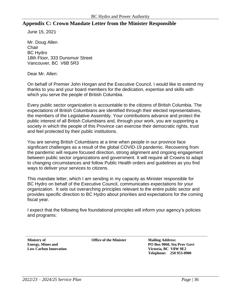#### **Appendix C: Crown Mandate Letter from the Minister Responsible**

June 15, 2021

Mr. Doug Allen **Chair** BC Hydro 18th Floor, 333 Dunsmuir Street Vancouver, BC V6B 5R3

Dear Mr. Allen:

On behalf of Premier John Horgan and the Executive Council, I would like to extend my thanks to you and your board members for the dedication, expertise and skills with which you serve the people of British Columbia.

Every public sector organization is accountable to the citizens of British Columbia. The expectations of British Columbians are identified through their elected representatives, the members of the Legislative Assembly. Your contributions advance and protect the public interest of all British Columbians and, through your work, you are supporting a society in which the people of this Province can exercise their democratic rights, trust and feel protected by their public institutions.

You are serving British Columbians at a time when people in our province face significant challenges as a result of the global COVID-19 pandemic. Recovering from the pandemic will require focused direction, strong alignment and ongoing engagement between public sector organizations and government. It will require all Crowns to adapt to changing circumstances and follow Public Health orders and guidelines as you find ways to deliver your services to citizens.

This mandate letter, which I am sending in my capacity as Minister responsible for BC Hydro on behalf of the Executive Council, communicates expectations for your organization. It sets out overarching principles relevant to the entire public sector and provides specific direction to BC Hydro about priorities and expectations for the coming fiscal year.

I expect that the following five foundational principles will inform your agency's policies and programs:

**Ministry of Energy, Mines and Low Carbon Innovation** **Office of the Minister Mailing Address:**

**PO Box 9060, Stn Prov Govt Victoria, BC V8W 9E2 Telephone: 250 953-0900**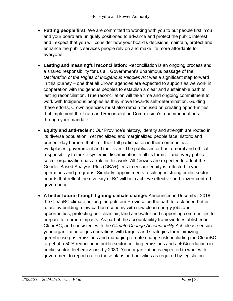- **Putting people first:** We are committed to working with you to put people first. You and your board are uniquely positioned to advance and protect the public interest, and I expect that you will consider how your board's decisions maintain, protect and enhance the public services people rely on and make life more affordable for everyone.
- **Lasting and meaningful reconciliation:** Reconciliation is an ongoing process and a shared responsibility for us all. Government's unanimous passage of the *Declaration of the Rights of Indigenous Peoples Act* was a significant step forward in this journey – one that all Crown agencies are expected to support as we work in cooperation with Indigenous peoples to establish a clear and sustainable path to lasting reconciliation. True reconciliation will take time and ongoing commitment to work with Indigenous peoples as they move towards self-determination. Guiding these efforts, Crown agencies must also remain focused on creating opportunities that implement the Truth and Reconciliation Commission's recommendations through your mandate.
- **Equity and anti-racism:** Our Province's history, identity and strength are rooted in its diverse population. Yet racialized and marginalized people face historic and present-day barriers that limit their full participation in their communities, workplaces, government and their lives. The public sector has a moral and ethical responsibility to tackle systemic discrimination in all its forms – and every public sector organization has a role in this work. All Crowns are expected to adopt the Gender-Based Analysis Plus (GBA+) lens to ensure equity is reflected in your operations and programs. Similarly, appointments resulting in strong public sector boards that reflect the diversity of BC will help achieve effective and citizen-centred governance.
- **A better future through fighting climate change:** Announced in December 2018, the CleanBC climate action plan puts our Province on the path to a cleaner, better future by building a low-carbon economy with new clean energy jobs and opportunities, protecting our clean air, land and water and supporting communities to prepare for carbon impacts. As part of the accountability framework established in CleanBC, and consistent with the *Climate Change Accountability Act*, please ensure your organization aligns operations with targets and strategies for minimizing greenhouse gas emissions and managing climate change risk, including the CleanBC target of a 50% reduction in public sector building emissions and a 40% reduction in public sector fleet emissions by 2030. Your organization is expected to work with government to report out on these plans and activities as required by legislation.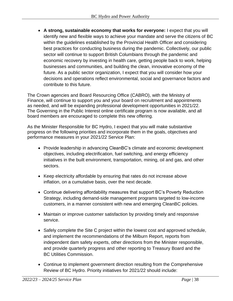• **A strong, sustainable economy that works for everyone:** I expect that you will identify new and flexible ways to achieve your mandate and serve the citizens of BC within the guidelines established by the Provincial Health Officer and considering best practices for conducting business during the pandemic. Collectively, our public sector will continue to support British Columbians through the pandemic and economic recovery by investing in health care, getting people back to work, helping businesses and communities, and building the clean, innovative economy of the future. As a public sector organization, I expect that you will consider how your decisions and operations reflect environmental, social and governance factors and contribute to this future.

The Crown agencies and Board Resourcing Office (CABRO), with the Ministry of Finance, will continue to support you and your board on recruitment and appointments as needed, and will be expanding professional development opportunities in 2021/22. The Governing in the Public Interest online certificate program is now available, and all board members are encouraged to complete this new offering.

As the Minister Responsible for BC Hydro, I expect that you will make substantive progress on the following priorities and incorporate them in the goals, objectives and performance measures in your 2021/22 Service Plan:

- Provide leadership in advancing CleanBC's climate and economic development objectives, including electrification, fuel switching, and energy efficiency initiatives in the built environment, transportation, mining, oil and gas, and other sectors.
- Keep electricity affordable by ensuring that rates do not increase above inflation, on a cumulative basis, over the next decade.
- Continue delivering affordability measures that support BC's Poverty Reduction Strategy, including demand-side management programs targeted to low-income customers, in a manner consistent with new and emerging CleanBC policies.
- Maintain or improve customer satisfaction by providing timely and responsive service.
- Safely complete the Site C project within the lowest cost and approved schedule, and implement the recommendations of the Milburn Report, reports from independent dam safety experts, other directions from the Minister responsible, and provide quarterly progress and other reporting to Treasury Board and the BC Utilities Commission.
- Continue to implement government direction resulting from the Comprehensive Review of BC Hydro. Priority initiatives for 2021/22 should include: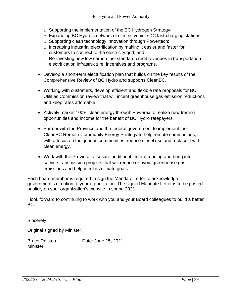- o Supporting the implementation of the BC Hydrogen Strategy;
- o Expanding BC Hydro's network of electric vehicle DC fast-charging stations;
- o Supporting clean technology innovation through Powertech;
- o Increasing industrial electrification by making it easier and faster for customers to connect to the electricity grid; and
- o Re-investing new low carbon fuel standard credit revenues in transportation electrification infrastructure, incentives and programs.
- Develop a short-term electrification plan that builds on the key results of the Comprehensive Review of BC Hydro and supports CleanBC.
- Working with customers, develop efficient and flexible rate proposals for BC Utilities Commission review that will incent greenhouse gas emission reductions and keep rates affordable.
- Actively market 100% clean energy through Powerex to realize new trading opportunities and income for the benefit of BC Hydro ratepayers.
- Partner with the Province and the federal government to implement the CleanBC Remote Community Energy Strategy to help remote communities, with a focus on Indigenous communities, reduce diesel use and replace it with clean energy.
- Work with the Province to secure additional federal funding and bring into service transmission projects that will reduce or avoid greenhouse gas emissions and help meet its climate goals.

Each board member is required to sign the Mandate Letter to acknowledge government's direction to your organization. The signed Mandate Letter is to be posted publicly on your organization's website in spring 2021.

I look forward to continuing to work with you and your Board colleagues to build a better BC.

Sincerely,

Original signed by Minister.

| <b>Bruce Ralston</b> | Date: June 15, 2021 |
|----------------------|---------------------|
| <b>Minister</b>      |                     |